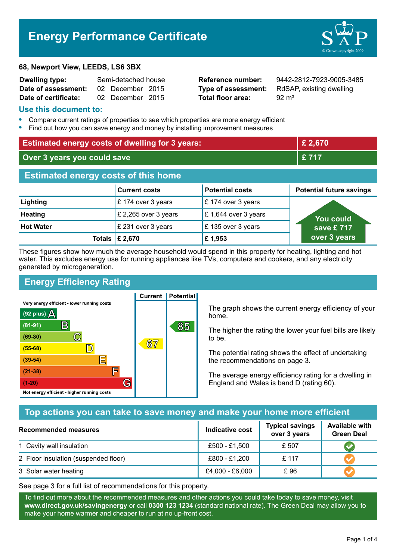# **Energy Performance Certificate**

#### **68, Newport View, LEEDS, LS6 3BX**

| <b>Dwelling type:</b> | Semi-detached house |                  |  |
|-----------------------|---------------------|------------------|--|
| Date of assessment:   |                     | 02 December 2015 |  |
| Date of certificate:  |                     | 02 December 2015 |  |

**Total floor area:** 92 m<sup>2</sup>

**Reference number:** 9442-2812-7923-9005-3485 **Type of assessment:** RdSAP, existing dwelling

#### **Use this document to:**

- **•** Compare current ratings of properties to see which properties are more energy efficient
- **•** Find out how you can save energy and money by installing improvement measures

| <b>Estimated energy costs of dwelling for 3 years:</b> |                                 |                        | £ 2,670                         |
|--------------------------------------------------------|---------------------------------|------------------------|---------------------------------|
| Over 3 years you could save                            |                                 | £717                   |                                 |
| <b>Estimated energy costs of this home</b>             |                                 |                        |                                 |
|                                                        | <b>Current costs</b>            | <b>Potential costs</b> | <b>Potential future savings</b> |
| Lighting                                               | £174 over 3 years               | $E$ 174 over 3 years   |                                 |
| <b>Heating</b>                                         | £ 2,265 over 3 years            | £1,644 over 3 years    | You could                       |
| <b>Hot Water</b>                                       | £ 231 over 3 years              | £135 over 3 years      | save £ $717$                    |
|                                                        | Totals $\mathbf{\hat{E}}$ 2,670 | £1,953                 | over 3 years                    |

These figures show how much the average household would spend in this property for heating, lighting and hot water. This excludes energy use for running appliances like TVs, computers and cookers, and any electricity generated by microgeneration.

**Current | Potential** 

# **Energy Efficiency Rating**

Very energy efficient - lower running costs



The graph shows the current energy efficiency of your home.

The higher the rating the lower your fuel bills are likely to be.

The potential rating shows the effect of undertaking the recommendations on page 3.

The average energy efficiency rating for a dwelling in England and Wales is band D (rating 60).

## **Top actions you can take to save money and make your home more efficient**

| Recommended measures                 | <b>Indicative cost</b> | <b>Typical savings</b><br>over 3 years | <b>Available with</b><br><b>Green Deal</b> |
|--------------------------------------|------------------------|----------------------------------------|--------------------------------------------|
| 1 Cavity wall insulation             | £500 - £1,500          | £ 507                                  |                                            |
| 2 Floor insulation (suspended floor) | £800 - £1,200          | £ 117                                  |                                            |
| 3 Solar water heating                | £4,000 - £6,000        | £ 96                                   |                                            |

See page 3 for a full list of recommendations for this property.

To find out more about the recommended measures and other actions you could take today to save money, visit **www.direct.gov.uk/savingenergy** or call **0300 123 1234** (standard national rate). The Green Deal may allow you to make your home warmer and cheaper to run at no up-front cost.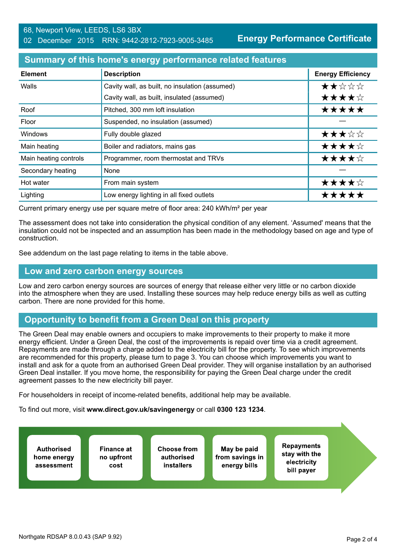**Energy Performance Certificate**

### **Summary of this home's energy performance related features**

| <b>Element</b>        | <b>Description</b>                             | <b>Energy Efficiency</b> |
|-----------------------|------------------------------------------------|--------------------------|
| Walls                 | Cavity wall, as built, no insulation (assumed) | ★★☆☆☆                    |
|                       | Cavity wall, as built, insulated (assumed)     | ★★★★☆                    |
| Roof                  | Pitched, 300 mm loft insulation                | *****                    |
| Floor                 | Suspended, no insulation (assumed)             |                          |
| <b>Windows</b>        | Fully double glazed                            | ★★★☆☆                    |
| Main heating          | Boiler and radiators, mains gas                | ★★★★☆                    |
| Main heating controls | Programmer, room thermostat and TRVs           | ★★★★☆                    |
| Secondary heating     | None                                           |                          |
| Hot water             | From main system                               | ★★★★☆                    |
| Lighting              | Low energy lighting in all fixed outlets       | *****                    |

Current primary energy use per square metre of floor area: 240 kWh/m² per year

The assessment does not take into consideration the physical condition of any element. 'Assumed' means that the insulation could not be inspected and an assumption has been made in the methodology based on age and type of construction.

See addendum on the last page relating to items in the table above.

#### **Low and zero carbon energy sources**

Low and zero carbon energy sources are sources of energy that release either very little or no carbon dioxide into the atmosphere when they are used. Installing these sources may help reduce energy bills as well as cutting carbon. There are none provided for this home.

## **Opportunity to benefit from a Green Deal on this property**

The Green Deal may enable owners and occupiers to make improvements to their property to make it more energy efficient. Under a Green Deal, the cost of the improvements is repaid over time via a credit agreement. Repayments are made through a charge added to the electricity bill for the property. To see which improvements are recommended for this property, please turn to page 3. You can choose which improvements you want to install and ask for a quote from an authorised Green Deal provider. They will organise installation by an authorised Green Deal installer. If you move home, the responsibility for paying the Green Deal charge under the credit agreement passes to the new electricity bill payer.

For householders in receipt of income-related benefits, additional help may be available.

To find out more, visit **www.direct.gov.uk/savingenergy** or call **0300 123 1234**.

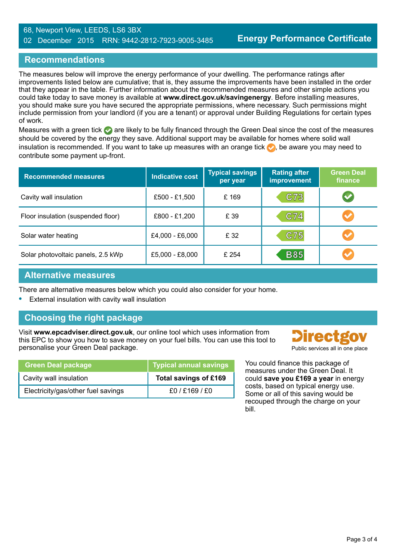#### 68, Newport View, LEEDS, LS6 3BX 02 December 2015 RRN: 9442-2812-7923-9005-3485

# **Recommendations**

The measures below will improve the energy performance of your dwelling. The performance ratings after improvements listed below are cumulative; that is, they assume the improvements have been installed in the order that they appear in the table. Further information about the recommended measures and other simple actions you could take today to save money is available at **www.direct.gov.uk/savingenergy**. Before installing measures, you should make sure you have secured the appropriate permissions, where necessary. Such permissions might include permission from your landlord (if you are a tenant) or approval under Building Regulations for certain types of work.

Measures with a green tick  $\bullet$  are likely to be fully financed through the Green Deal since the cost of the measures should be covered by the energy they save. Additional support may be available for homes where solid wall insulation is recommended. If you want to take up measures with an orange tick  $\bullet$ , be aware you may need to contribute some payment up-front.

| <b>Recommended measures</b>        | <b>Indicative cost</b> | <b>Typical savings</b><br>per year | <b>Rating after</b><br><b>improvement</b> | <b>Green Deal</b><br>finance |
|------------------------------------|------------------------|------------------------------------|-------------------------------------------|------------------------------|
| Cavity wall insulation             | £500 - £1,500          | £169                               | C73                                       | $\blacktriangledown$         |
| Floor insulation (suspended floor) | £800 - £1,200          | £ 39                               | C74                                       | $\blacktriangledown$         |
| Solar water heating                | £4,000 - £6,000        | £ 32                               | C75                                       |                              |
| Solar photovoltaic panels, 2.5 kWp | £5,000 - £8,000        | £ 254                              | <b>B85</b>                                |                              |

## **Alternative measures**

There are alternative measures below which you could also consider for your home.

**•** External insulation with cavity wall insulation

# **Choosing the right package**

Visit **www.epcadviser.direct.gov.uk**, our online tool which uses information from this EPC to show you how to save money on your fuel bills. You can use this tool to personalise your Green Deal package. **Public services all in one place** provided by a public services all in one place

| <b>Green Deal package</b>          | <b>Typical annual savings</b> |
|------------------------------------|-------------------------------|
| Cavity wall insulation             | Total savings of £169         |
| Electricity/gas/other fuel savings | £0/£169/£0                    |

**Directgo** 

You could finance this package of measures under the Green Deal. It could **save you £169 a year** in energy costs, based on typical energy use. Some or all of this saving would be recouped through the charge on your bill.